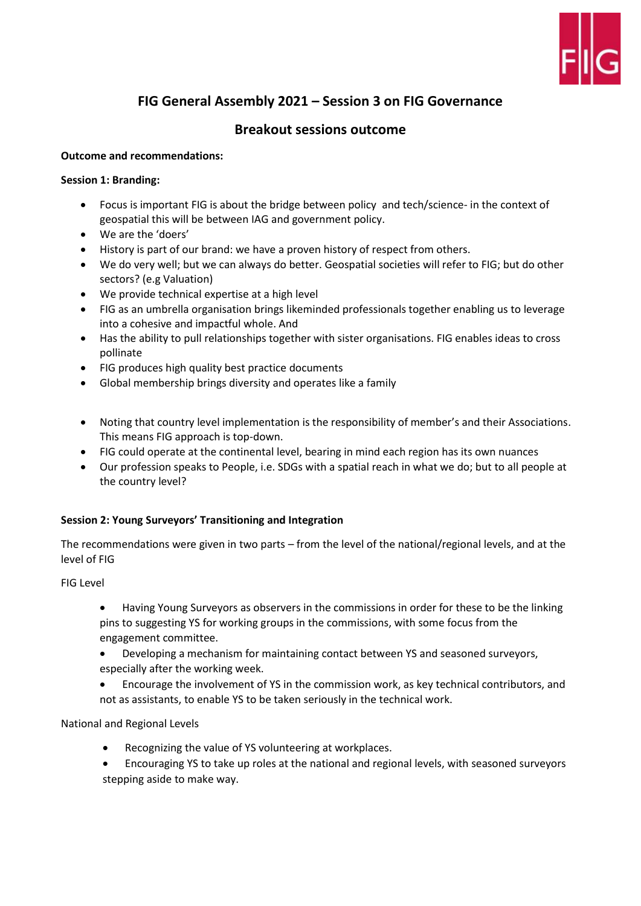

# **FIG General Assembly 2021 – Session 3 on FIG Governance**

# **Breakout sessions outcome**

## **Outcome and recommendations:**

# **Session 1: Branding:**

- Focus is important FIG is about the bridge between policy and tech/science- in the context of geospatial this will be between IAG and government policy.
- We are the 'doers'
- History is part of our brand: we have a proven history of respect from others.
- We do very well; but we can always do better. Geospatial societies will refer to FIG; but do other sectors? (e.g Valuation)
- We provide technical expertise at a high level
- FIG as an umbrella organisation brings likeminded professionals together enabling us to leverage into a cohesive and impactful whole. And
- Has the ability to pull relationships together with sister organisations. FIG enables ideas to cross pollinate
- FIG produces high quality best practice documents
- Global membership brings diversity and operates like a family
- Noting that country level implementation is the responsibility of member's and their Associations. This means FIG approach is top-down.
- FIG could operate at the continental level, bearing in mind each region has its own nuances
- Our profession speaks to People, i.e. SDGs with a spatial reach in what we do; but to all people at the country level?

# **Session 2: Young Surveyors' Transitioning and Integration**

The recommendations were given in two parts – from the level of the national/regional levels, and at the level of FIG

FIG Level

- Having Young Surveyors as observers in the commissions in order for these to be the linking pins to suggesting YS for working groups in the commissions, with some focus from the engagement committee.
- Developing a mechanism for maintaining contact between YS and seasoned surveyors, especially after the working week.
- Encourage the involvement of YS in the commission work, as key technical contributors, and not as assistants, to enable YS to be taken seriously in the technical work.

National and Regional Levels

- Recognizing the value of YS volunteering at workplaces.
- Encouraging YS to take up roles at the national and regional levels, with seasoned surveyors stepping aside to make way.